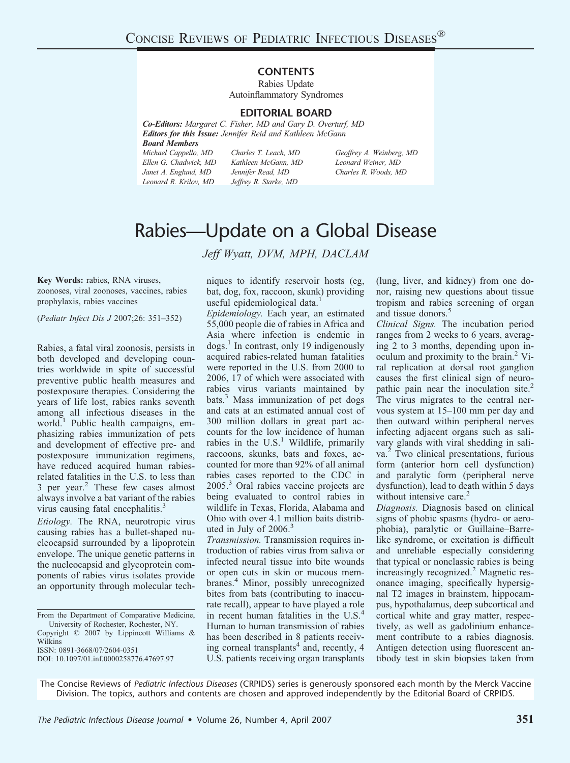## **CONTENTS**

Rabies Update Autoinflammatory Syndromes

## **EDITORIAL BOARD**

*Co-Editors: Margaret C. Fisher, MD and Gary D. Overturf, MD Editors for this Issue: Jennifer Reid and Kathleen McGann Board Members*

*Michael Cappello, MD Ellen G. Chadwick, MD Janet A. Englund, MD Leonard R. Krilov, MD*

*Charles T. Leach, MD Kathleen McGann, MD Jennifer Read, MD Jeffrey R. Starke, MD*

*Geoffrey A. Weinberg, MD Leonard Weiner, MD Charles R. Woods, MD*

## Rabies—Update on a Global Disease

*Jeff Wyatt, DVM, MPH, DACLAM*

**Key Words:** rabies, RNA viruses, zoonoses, viral zoonoses, vaccines, rabies prophylaxis, rabies vaccines

(*Pediatr Infect Dis J* 2007;26: 351–352)

Rabies, a fatal viral zoonosis, persists in both developed and developing countries worldwide in spite of successful preventive public health measures and postexposure therapies. Considering the years of life lost, rabies ranks seventh among all infectious diseases in the world.<sup>1</sup> Public health campaigns, emphasizing rabies immunization of pets and development of effective pre- and postexposure immunization regimens, have reduced acquired human rabiesrelated fatalities in the U.S. to less than 3 per year.2 These few cases almost always involve a bat variant of the rabies virus causing fatal encephalitis.<sup>3</sup>

*Etiology.* The RNA, neurotropic virus causing rabies has a bullet-shaped nucleocapsid surrounded by a lipoprotein envelope. The unique genetic patterns in the nucleocapsid and glycoprotein components of rabies virus isolates provide an opportunity through molecular tech-

From the Department of Comparative Medicine, University of Rochester, Rochester, NY. Copyright © 2007 by Lippincott Williams &

Wilkins

ISSN: 0891-3668/07/2604-0351

DOI: 10.1097/01.inf.0000258776.47697.97

niques to identify reservoir hosts (eg, bat, dog, fox, raccoon, skunk) providing useful epidemiological data.<sup>1</sup>

*Epidemiology.* Each year, an estimated 55,000 people die of rabies in Africa and Asia where infection is endemic in  $\log s$ <sup>1</sup> In contrast, only 19 indigenously acquired rabies-related human fatalities were reported in the U.S. from 2000 to 2006, 17 of which were associated with rabies virus variants maintained by  $bats<sup>3</sup>$  Mass immunization of pet dogs and cats at an estimated annual cost of 300 million dollars in great part accounts for the low incidence of human rabies in the  $U.S.<sup>1</sup>$  Wildlife, primarily raccoons, skunks, bats and foxes, accounted for more than 92% of all animal rabies cases reported to the CDC in 2005.3 Oral rabies vaccine projects are being evaluated to control rabies in wildlife in Texas, Florida, Alabama and Ohio with over 4.1 million baits distributed in July of  $2006<sup>3</sup>$ 

*Transmission.* Transmission requires introduction of rabies virus from saliva or infected neural tissue into bite wounds or open cuts in skin or mucous membranes.4 Minor, possibly unrecognized bites from bats (contributing to inaccurate recall), appear to have played a role in recent human fatalities in the U.S.<sup>4</sup> Human to human transmission of rabies has been described in 8 patients receiving corneal transplants<sup>4</sup> and, recently, 4 U.S. patients receiving organ transplants

(lung, liver, and kidney) from one donor, raising new questions about tissue tropism and rabies screening of organ and tissue donors.<sup>5</sup>

*Clinical Signs.* The incubation period ranges from 2 weeks to 6 years, averaging 2 to 3 months, depending upon inoculum and proximity to the brain.<sup>2</sup> Viral replication at dorsal root ganglion causes the first clinical sign of neuropathic pain near the inoculation site.<sup>2</sup> The virus migrates to the central nervous system at 15–100 mm per day and then outward within peripheral nerves infecting adjacent organs such as salivary glands with viral shedding in saliva.<sup>2</sup> Two clinical presentations, furious form (anterior horn cell dysfunction) and paralytic form (peripheral nerve dysfunction), lead to death within 5 days without intensive care.<sup>2</sup>

*Diagnosis.* Diagnosis based on clinical signs of phobic spasms (hydro- or aerophobia), paralytic or Guillaine–Barrelike syndrome, or excitation is difficult and unreliable especially considering that typical or nonclassic rabies is being increasingly recognized.<sup>2</sup> Magnetic resonance imaging, specifically hypersignal T2 images in brainstem, hippocampus, hypothalamus, deep subcortical and cortical white and gray matter, respectively, as well as gadolinium enhancement contribute to a rabies diagnosis. Antigen detection using fluorescent antibody test in skin biopsies taken from

The Concise Reviews of *Pediatric Infectious Diseases* (CRPIDS) series is generously sponsored each month by the Merck Vaccine Division. The topics, authors and contents are chosen and approved independently by the Editorial Board of CRPIDS.